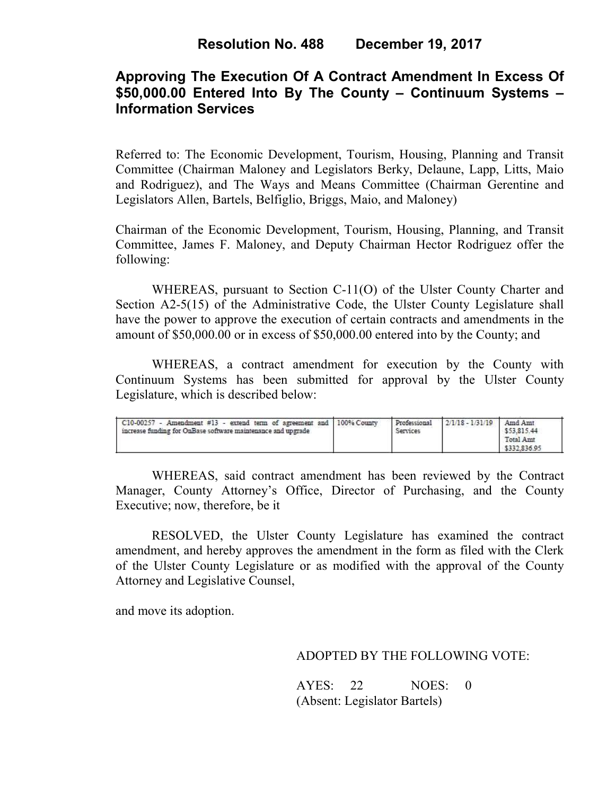# **Approving The Execution Of A Contract Amendment In Excess Of \$50,000.00 Entered Into By The County – Continuum Systems – Information Services**

Referred to: The Economic Development, Tourism, Housing, Planning and Transit Committee (Chairman Maloney and Legislators Berky, Delaune, Lapp, Litts, Maio and Rodriguez), and The Ways and Means Committee (Chairman Gerentine and Legislators Allen, Bartels, Belfiglio, Briggs, Maio, and Maloney)

Chairman of the Economic Development, Tourism, Housing, Planning, and Transit Committee, James F. Maloney, and Deputy Chairman Hector Rodriguez offer the following:

WHEREAS, pursuant to Section C-11(O) of the Ulster County Charter and Section A2-5(15) of the Administrative Code, the Ulster County Legislature shall have the power to approve the execution of certain contracts and amendments in the amount of \$50,000.00 or in excess of \$50,000.00 entered into by the County; and

 WHEREAS, a contract amendment for execution by the County with Continuum Systems has been submitted for approval by the Ulster County Legislature, which is described below:

| C10-00257 - Amendment #13 - extend term of agreement and   100% County<br>increase funding for OnBase software maintenance and upgrade |  | Professional<br>Services | $12/1/18 - 1/31/19$ | 1 Amd Amt<br>\$53,815.44<br>Total Amt<br>\$332,836.95 |  |
|----------------------------------------------------------------------------------------------------------------------------------------|--|--------------------------|---------------------|-------------------------------------------------------|--|
|----------------------------------------------------------------------------------------------------------------------------------------|--|--------------------------|---------------------|-------------------------------------------------------|--|

WHEREAS, said contract amendment has been reviewed by the Contract Manager, County Attorney's Office, Director of Purchasing, and the County Executive; now, therefore, be it

RESOLVED, the Ulster County Legislature has examined the contract amendment, and hereby approves the amendment in the form as filed with the Clerk of the Ulster County Legislature or as modified with the approval of the County Attorney and Legislative Counsel,

and move its adoption.

### ADOPTED BY THE FOLLOWING VOTE:

AYES: 22 NOES: 0 (Absent: Legislator Bartels)